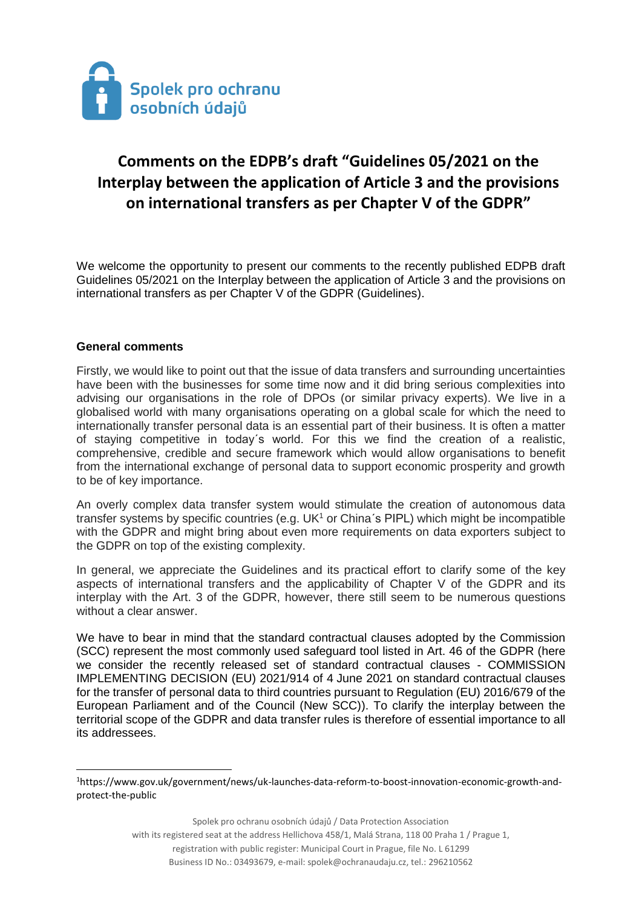

# **Comments on the EDPB's draft "Guidelines 05/2021 on the Interplay between the application of Article 3 and the provisions on international transfers as per Chapter V of the GDPR"**

We welcome the opportunity to present our comments to the recently published EDPB draft Guidelines 05/2021 on the Interplay between the application of Article 3 and the provisions on international transfers as per Chapter V of the GDPR (Guidelines).

#### **General comments**

 $\overline{\phantom{a}}$ 

Firstly, we would like to point out that the issue of data transfers and surrounding uncertainties have been with the businesses for some time now and it did bring serious complexities into advising our organisations in the role of DPOs (or similar privacy experts). We live in a globalised world with many organisations operating on a global scale for which the need to internationally transfer personal data is an essential part of their business. It is often a matter of staying competitive in today´s world. For this we find the creation of a realistic, comprehensive, credible and secure framework which would allow organisations to benefit from the international exchange of personal data to support economic prosperity and growth to be of key importance.

An overly complex data transfer system would stimulate the creation of autonomous data transfer systems by specific countries (e.g.  $UK<sup>1</sup>$  or China's PIPL) which might be incompatible with the GDPR and might bring about even more requirements on data exporters subject to the GDPR on top of the existing complexity.

In general, we appreciate the Guidelines and its practical effort to clarify some of the key aspects of international transfers and the applicability of Chapter V of the GDPR and its interplay with the Art. 3 of the GDPR, however, there still seem to be numerous questions without a clear answer.

We have to bear in mind that the standard contractual clauses adopted by the Commission (SCC) represent the most commonly used safeguard tool listed in Art. 46 of the GDPR (here we consider the recently released set of standard contractual clauses - COMMISSION IMPLEMENTING DECISION (EU) 2021/914 of 4 June 2021 on standard contractual clauses for the transfer of personal data to third countries pursuant to Regulation (EU) 2016/679 of the European Parliament and of the Council (New SCC)). To clarify the interplay between the territorial scope of the GDPR and data transfer rules is therefore of essential importance to all its addressees.

Spolek pro ochranu osobních údajů / Data Protection Association with its registered seat at the address Hellichova 458/1, Malá Strana, 118 00 Praha 1 / Prague 1, registration with public register: Municipal Court in Prague, file No. L 61299 Business ID No.: 03493679, e-mail: spolek@ochranaudaju.cz, tel.: 296210562

<sup>1</sup>https://www.gov.uk/government/news/uk-launches-data-reform-to-boost-innovation-economic-growth-andprotect-the-public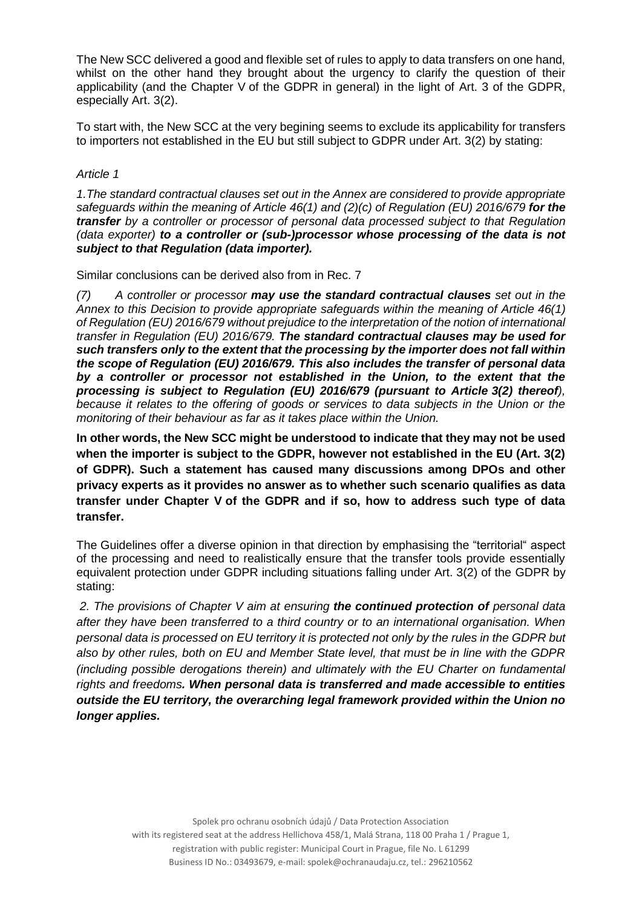The New SCC delivered a good and flexible set of rules to apply to data transfers on one hand, whilst on the other hand they brought about the urgency to clarify the question of their applicability (and the Chapter V of the GDPR in general) in the light of Art. 3 of the GDPR, especially Art. 3(2).

To start with, the New SCC at the very begining seems to exclude its applicability for transfers to importers not established in the EU but still subject to GDPR under Art. 3(2) by stating:

#### *Article 1*

*1.The standard contractual clauses set out in the Annex are considered to provide appropriate safeguards within the meaning of Article 46(1) and (2)(c) of Regulation (EU) 2016/679 for the transfer by a controller or processor of personal data processed subject to that Regulation (data exporter) to a controller or (sub-)processor whose processing of the data is not subject to that Regulation (data importer).*

Similar conclusions can be derived also from in Rec. 7

*(7) A controller or processor may use the standard contractual clauses set out in the Annex to this Decision to provide appropriate safeguards within the meaning of Article 46(1) of Regulation (EU) 2016/679 without prejudice to the interpretation of the notion of international transfer in Regulation (EU) 2016/679. The standard contractual clauses may be used for such transfers only to the extent that the processing by the importer does not fall within the scope of Regulation (EU) 2016/679. This also includes the transfer of personal data by a controller or processor not established in the Union, to the extent that the processing is subject to Regulation (EU) 2016/679 (pursuant to Article 3(2) thereof),*  because it relates to the offering of goods or services to data subjects in the Union or the *monitoring of their behaviour as far as it takes place within the Union.* 

**In other words, the New SCC might be understood to indicate that they may not be used when the importer is subject to the GDPR, however not established in the EU (Art. 3(2) of GDPR). Such a statement has caused many discussions among DPOs and other privacy experts as it provides no answer as to whether such scenario qualifies as data transfer under Chapter V of the GDPR and if so, how to address such type of data transfer.**

The Guidelines offer a diverse opinion in that direction by emphasising the "territorial" aspect of the processing and need to realistically ensure that the transfer tools provide essentially equivalent protection under GDPR including situations falling under Art. 3(2) of the GDPR by stating:

*2. The provisions of Chapter V aim at ensuring the continued protection of personal data after they have been transferred to a third country or to an international organisation. When personal data is processed on EU territory it is protected not only by the rules in the GDPR but also by other rules, both on EU and Member State level, that must be in line with the GDPR (including possible derogations therein) and ultimately with the EU Charter on fundamental rights and freedoms. When personal data is transferred and made accessible to entities outside the EU territory, the overarching legal framework provided within the Union no longer applies.*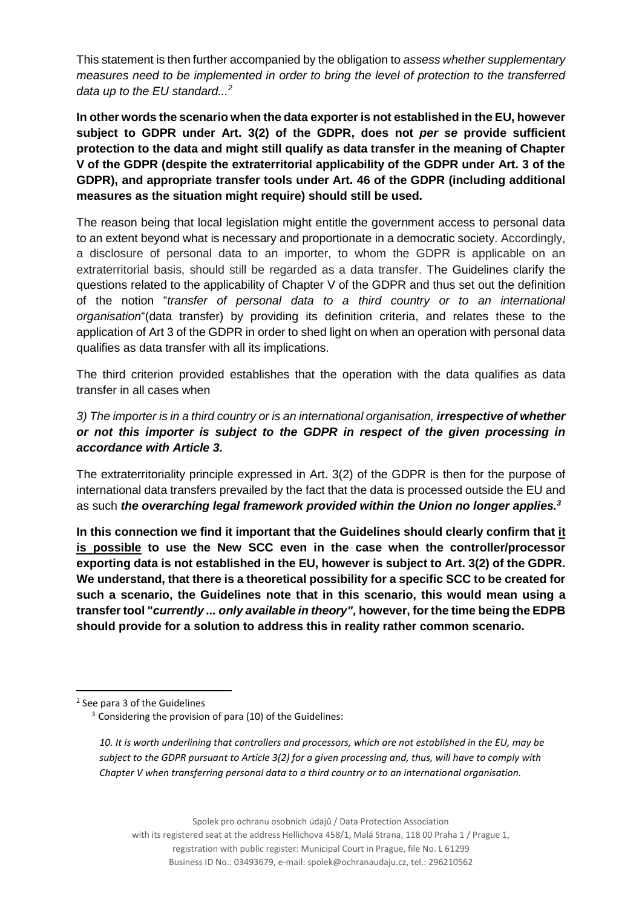This statement is then further accompanied by the obligation to *assess whether supplementary measures need to be implemented in order to bring the level of protection to the transferred data up to the EU standard...<sup>2</sup>*

**In other words the scenario when the data exporter is not established in the EU, however subject to GDPR under Art. 3(2) of the GDPR, does not** *per se* **provide sufficient protection to the data and might still qualify as data transfer in the meaning of Chapter V of the GDPR (despite the extraterritorial applicability of the GDPR under Art. 3 of the GDPR), and appropriate transfer tools under Art. 46 of the GDPR (including additional measures as the situation might require) should still be used.** 

The reason being that local legislation might entitle the government access to personal data to an extent beyond what is necessary and proportionate in a democratic society. Accordingly, a disclosure of personal data to an importer, to whom the GDPR is applicable on an extraterritorial basis, should still be regarded as a data transfer. The Guidelines clarify the questions related to the applicability of Chapter V of the GDPR and thus set out the definition of the notion "*transfer of personal data to a third country or to an international organisation*"(data transfer) by providing its definition criteria, and relates these to the application of Art 3 of the GDPR in order to shed light on when an operation with personal data qualifies as data transfer with all its implications.

The third criterion provided establishes that the operation with the data qualifies as data transfer in all cases when

*3) The importer is in a third country or is an international organisation, irrespective of whether or not this importer is subject to the GDPR in respect of the given processing in accordance with Article 3.*

The extraterritoriality principle expressed in Art. 3(2) of the GDPR is then for the purpose of international data transfers prevailed by the fact that the data is processed outside the EU and as such *the overarching legal framework provided within the Union no longer applies.<sup>3</sup>*

**In this connection we find it important that the Guidelines should clearly confirm that it is possible to use the New SCC even in the case when the controller/processor exporting data is not established in the EU, however is subject to Art. 3(2) of the GDPR. We understand, that there is a theoretical possibility for a specific SCC to be created for such a scenario, the Guidelines note that in this scenario, this would mean using a transfer tool "***currently ... only available in theory",* **however, for the time being the EDPB should provide for a solution to address this in reality rather common scenario.** 

 $\overline{a}$ 

*10. It is worth underlining that controllers and processors, which are not established in the EU, may be subject to the GDPR pursuant to Article 3(2) for a given processing and, thus, will have to comply with Chapter V when transferring personal data to a third country or to an international organisation.*

Spolek pro ochranu osobních údajů / Data Protection Association

with its registered seat at the address Hellichova 458/1, Malá Strana, 118 00 Praha 1 / Prague 1,

registration with public register: Municipal Court in Prague, file No. L 61299

Business ID No.: 03493679, e-mail: spolek@ochranaudaju.cz, tel.: 296210562

<sup>&</sup>lt;sup>2</sup> See para 3 of the Guidelines

<sup>&</sup>lt;sup>3</sup> Considering the provision of para (10) of the Guidelines: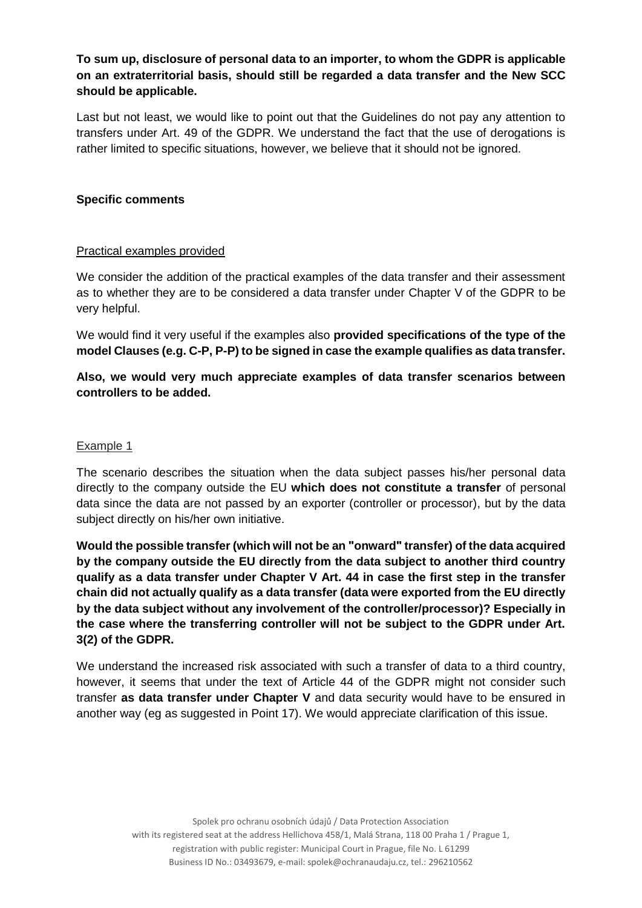# **To sum up, disclosure of personal data to an importer, to whom the GDPR is applicable on an extraterritorial basis, should still be regarded a data transfer and the New SCC should be applicable.**

Last but not least, we would like to point out that the Guidelines do not pay any attention to transfers under Art. 49 of the GDPR. We understand the fact that the use of derogations is rather limited to specific situations, however, we believe that it should not be ignored.

## **Specific comments**

#### Practical examples provided

We consider the addition of the practical examples of the data transfer and their assessment as to whether they are to be considered a data transfer under Chapter V of the GDPR to be very helpful.

We would find it very useful if the examples also **provided specifications of the type of the model Clauses (e.g. C-P, P-P) to be signed in case the example qualifies as data transfer.** 

**Also, we would very much appreciate examples of data transfer scenarios between controllers to be added.**

#### Example 1

The scenario describes the situation when the data subject passes his/her personal data directly to the company outside the EU **which does not constitute a transfer** of personal data since the data are not passed by an exporter (controller or processor), but by the data subject directly on his/her own initiative.

Would the possible transfer (which will not be an "onward" transfer) of the data acquired **by the company outside the EU directly from the data subject to another third country qualify as a data transfer under Chapter V Art. 44 in case the first step in the transfer chain did not actually qualify as a data transfer (data were exported from the EU directly by the data subject without any involvement of the controller/processor)? Especially in the case where the transferring controller will not be subject to the GDPR under Art. 3(2) of the GDPR.** 

We understand the increased risk associated with such a transfer of data to a third country, however, it seems that under the text of Article 44 of the GDPR might not consider such transfer **as data transfer under Chapter V** and data security would have to be ensured in another way (eg as suggested in Point 17). We would appreciate clarification of this issue.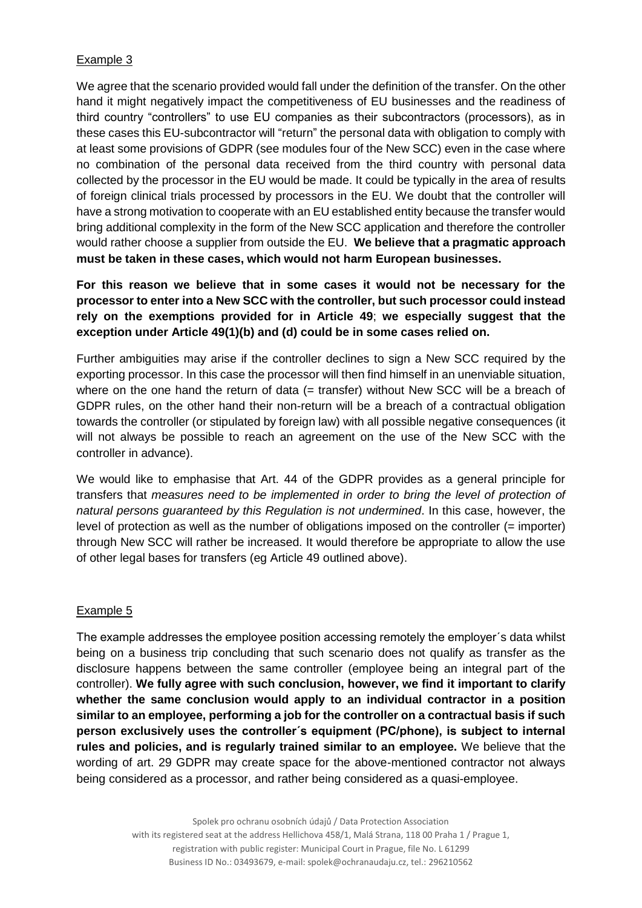## Example 3

We agree that the scenario provided would fall under the definition of the transfer. On the other hand it might negatively impact the competitiveness of EU businesses and the readiness of third country "controllers" to use EU companies as their subcontractors (processors), as in these cases this EU-subcontractor will "return" the personal data with obligation to comply with at least some provisions of GDPR (see modules four of the New SCC) even in the case where no combination of the personal data received from the third country with personal data collected by the processor in the EU would be made. It could be typically in the area of results of foreign clinical trials processed by processors in the EU. We doubt that the controller will have a strong motivation to cooperate with an EU established entity because the transfer would bring additional complexity in the form of the New SCC application and therefore the controller would rather choose a supplier from outside the EU. **We believe that a pragmatic approach must be taken in these cases, which would not harm European businesses.**

# **For this reason we believe that in some cases it would not be necessary for the processor to enter into a New SCC with the controller, but such processor could instead rely on the exemptions provided for in Article 49**; **we especially suggest that the exception under Article 49(1)(b) and (d) could be in some cases relied on.**

Further ambiguities may arise if the controller declines to sign a New SCC required by the exporting processor. In this case the processor will then find himself in an unenviable situation, where on the one hand the return of data (= transfer) without New SCC will be a breach of GDPR rules, on the other hand their non-return will be a breach of a contractual obligation towards the controller (or stipulated by foreign law) with all possible negative consequences (it will not always be possible to reach an agreement on the use of the New SCC with the controller in advance).

We would like to emphasise that Art. 44 of the GDPR provides as a general principle for transfers that *measures need to be implemented in order to bring the level of protection of natural persons guaranteed by this Regulation is not undermined*. In this case, however, the level of protection as well as the number of obligations imposed on the controller (= importer) through New SCC will rather be increased. It would therefore be appropriate to allow the use of other legal bases for transfers (eg Article 49 outlined above).

#### Example 5

The example addresses the employee position accessing remotely the employer´s data whilst being on a business trip concluding that such scenario does not qualify as transfer as the disclosure happens between the same controller (employee being an integral part of the controller). **We fully agree with such conclusion, however, we find it important to clarify whether the same conclusion would apply to an individual contractor in a position similar to an employee, performing a job for the controller on a contractual basis if such person exclusively uses the controller´s equipment (PC/phone), is subject to internal rules and policies, and is regularly trained similar to an employee.** We believe that the wording of art. 29 GDPR may create space for the above-mentioned contractor not always being considered as a processor, and rather being considered as a quasi-employee.